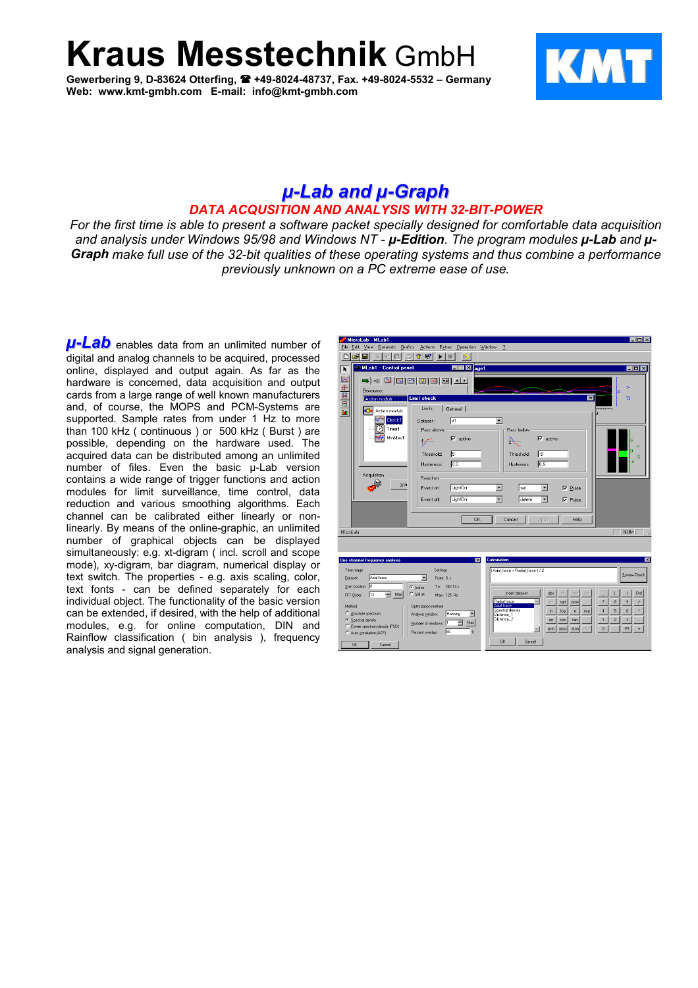**Kraus Messtechnik** GmbH

**Gewerbering 9, D-83624 Otterfing, +49-8024-48737, Fax. +49-8024-5532 – Germany Web: www.kmt-gmbh.com E-mail: info@kmt-gmbh.com**



 $\overline{\phantom{0}}$ 

## *µ-Lab and µ-Graph DATA ACQUSITION AND ANALYSIS WITH 32-BIT-POWER*

*For the first time is able to present a software packet specially designed for comfortable data acquisition and analysis under Windows 95/98 and Windows NT - µ-Edition. The program modules µ-Lab and µ-Graph make full use of the 32-bit qualities of these operating systems and thus combine a performance previously unknown on a PC extreme ease of use.*

*µ-Lab* enables data from an unlimited number of digital and analog channels to be acquired, processed online, displayed and output again. As far as the hardware is concerned, data acquisition and output cards from a large range of well known manufacturers and, of course, the MOPS and PCM-Systems are supported. Sample rates from under 1 Hz to more than 100 kHz ( continuous ) or 500 kHz ( Burst ) are possible, depending on the hardware used. The acquired data can be distributed among an unlimited number of files. Even the basic µ-Lab version contains a wide range of trigger functions and action modules for limit surveillance, time control, data reduction and various smoothing algorithms. Each channel can be calibrated either linearly or nonlinearly. By means of the online-graphic, an unlimited number of graphical objects can be displayed simultaneously: e.g. xt-digram ( incl. scroll and scope mode), xy-digram, bar diagram, numerical display or text switch. The properties - e.g. axis scaling, color, text fonts - can be defined separately for each individual object. The functionality of the basic version can be extended, if desired, with the help of additional modules, e.g. for online computation, DIN and Rainflow classification ( bin analysis ), frequency analysis and signal generation.

| MICIOLAD - MLADI<br>$-1$ $-1$ $\wedge$<br>Extras<br><b>Operation</b><br>$\overline{2}$<br>Eile<br>Edit<br>View<br>Datasets<br>Grafics<br>Actions<br>Window                                                                                                                                                                                                                                                                                                                                                                                                                                       |
|--------------------------------------------------------------------------------------------------------------------------------------------------------------------------------------------------------------------------------------------------------------------------------------------------------------------------------------------------------------------------------------------------------------------------------------------------------------------------------------------------------------------------------------------------------------------------------------------------|
| D<br>$\mathbf{k}$ ?<br>P<br>П<br>喻<br>Æ<br>R<br>胞                                                                                                                                                                                                                                                                                                                                                                                                                                                                                                                                                |
| MLab1 - Control panel<br>$\mathbb{E}$ age1<br>面<br>$\blacksquare$ $\blacksquare$ $\times$<br>ŕ                                                                                                                                                                                                                                                                                                                                                                                                                                                                                                   |
| 医甲甲二甲<br>8   3   3   3   3   3   4  <br>≔ । ⊲ः<br>э<br>Resource:<br>ğ<br><b>Limit check</b><br>$\vert x \vert$<br><b>Action moduls</b><br>Limits<br>General<br><br>Action moduls<br>Check1<br>區<br>$\overline{\phantom{a}}$<br>Dataset:<br>æ<br>Timer1<br>Pass above<br>Pass below<br>MinMax1<br>$\nabla$ active<br>$\overline{\triangledown}$ active<br>ks<br>⊬<br>ю<br>同<br>15<br>Threshold:<br>Threshold:<br>Q.<br>-5<br>0.5<br>0.5<br><b>Hysteresis:</b><br>Hysteresis:<br>Acquisition<br>Reaction                                                                                           |
| Sta<br>LightOn<br>Event on:<br>▼<br>$\blacktriangledown$<br>set<br>$\nabla$ Pulse<br>LightOn<br>▾<br>delete<br>$\overline{\phantom{a}}$<br>Event off:<br>$\nabla$ Pulse<br><b>OK</b><br>Cancel<br>Help<br>Apply                                                                                                                                                                                                                                                                                                                                                                                  |
| MicroLab<br><b>NUM</b>                                                                                                                                                                                                                                                                                                                                                                                                                                                                                                                                                                           |
| <b>Calculation</b><br>$\overline{\mathbf{x}}$<br>One channel frequency analysis<br>図<br>Settings<br>[Axial_force + Radial_force ] / 2<br>Time range                                                                                                                                                                                                                                                                                                                                                                                                                                              |
| Syntax-Check<br>Axial force<br>$\overline{\phantom{a}}$<br>From: 0. s<br>Dataset:<br>Start position: 0<br>$T\alpha$ 262.14 s<br>$\epsilon$ Index<br>Insert dataset<br>deg<br>Del<br>abs<br>im<br>red<br>$\Rightarrow$ Max<br>C Value<br>12<br>FFT-Order:<br>Max: 125. Hz<br>Radial force<br>$\overline{\phantom{a}}$<br>8<br>$\overline{9}$<br>sq<br>sqit<br><b>DOW</b><br>Axial force<br>Method<br><b>Optimization method</b><br>Spectral density<br>4<br>5<br>6<br>$\overline{\mathbf{x}}$<br>In.<br>log<br>exp<br>e.<br>C Absolute spectrum<br>Hanning<br>×<br>Analysis window.<br>Distance 1 |
| Distance_2<br>$\overline{c}$<br>3<br>$\overline{1}$<br>C Spectral density<br>sin<br>cos<br>tan<br>N.<br>Max<br>Number of windows: 1<br>C Power spectrum density (PSD)<br>$\bf{0}$<br>PI.<br>asin<br>acos<br>atan<br>am2<br>$\ddot{}$<br>$\overline{\phantom{a}}$<br>50<br>$\mathbb{Z}$<br>Percent overlap:<br>C Auto correlation (ACF)<br><b>OK</b><br>Cancel<br><b>OK</b><br>Cancel                                                                                                                                                                                                             |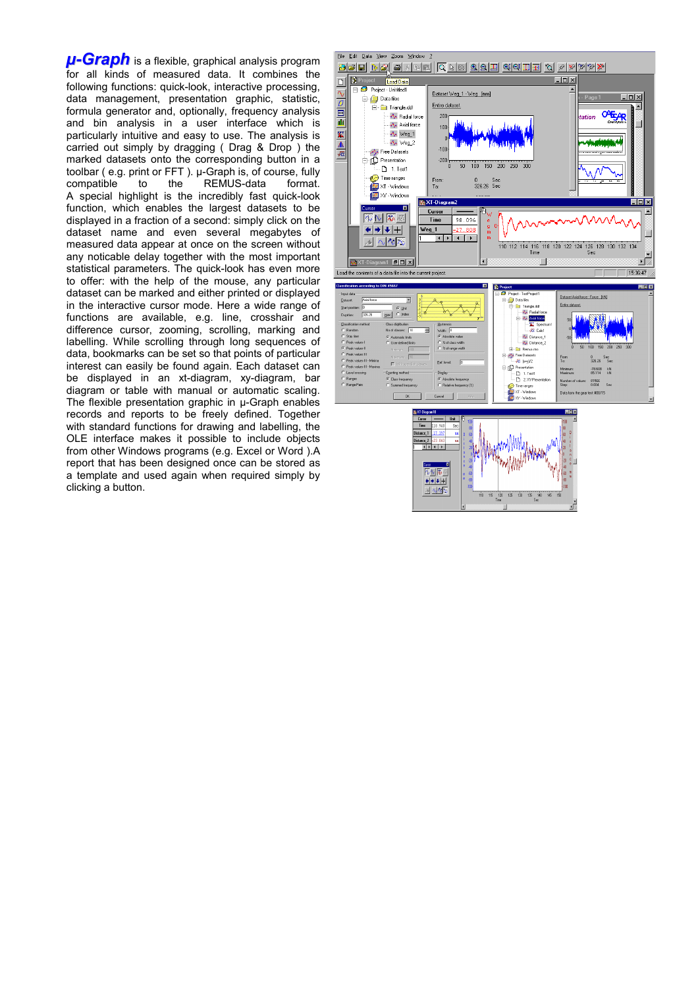*µ-Graph* is a flexible, graphical analysis program for all kinds of measured data. It combines the following functions: quick-look, interactive processing, data management, presentation graphic, statistic, formula generator and, optionally, frequency analysis and bin analysis in a user interface which is particularly intuitive and easy to use. The analysis is carried out simply by dragging ( Drag & Drop ) the marked datasets onto the corresponding button in a toolbar ( e.g. print or FFT ). µ-Graph is, of course, fully compatible to the REMUS-data format. A special highlight is the incredibly fast quick-look function, which enables the largest datasets to be displayed in a fraction of a second: simply click on the dataset name and even several megabytes of measured data appear at once on the screen without any noticable delay together with the most important statistical parameters. The quick-look has even more to offer: with the help of the mouse, any particular dataset can be marked and either printed or displayed in the interactive cursor mode. Here a wide range of functions are available, e.g. line, crosshair and difference cursor, zooming, scrolling, marking and labelling. While scrolling through long sequences of data, bookmarks can be set so that points of particular interest can easily be found again. Each dataset can be displayed in an xt-diagram, xy-diagram, bar diagram or table with manual or automatic scaling. The flexible presentation graphic in µ-Graph enables records and reports to be freely defined. Together with standard functions for drawing and labelling, the OLE interface makes it possible to include objects from other Windows programs (e.g. Excel or Word ).A report that has been designed once can be stored as a template and used again when required simply by clicking a button.

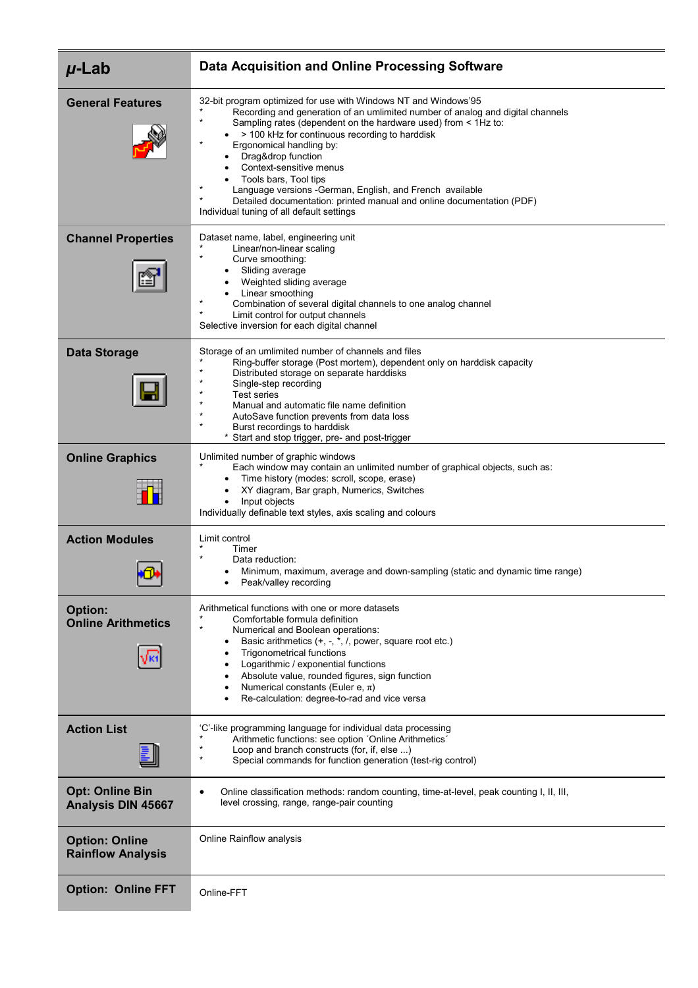| $\mu$ -Lab                                          | Data Acquisition and Online Processing Software                                                                                                                                                                                                                                                                                                                                                                                                                                                                                                                                                           |
|-----------------------------------------------------|-----------------------------------------------------------------------------------------------------------------------------------------------------------------------------------------------------------------------------------------------------------------------------------------------------------------------------------------------------------------------------------------------------------------------------------------------------------------------------------------------------------------------------------------------------------------------------------------------------------|
| <b>General Features</b>                             | 32-bit program optimized for use with Windows NT and Windows'95<br>Recording and generation of an umlimited number of analog and digital channels<br>$\star$<br>Sampling rates (dependent on the hardware used) from < 1Hz to:<br>$\bullet$ > 100 kHz for continuous recording to harddisk<br>Ergonomical handling by:<br>Drag&drop function<br>Context-sensitive menus<br>Tools bars, Tool tips<br>$\star$<br>Language versions - German, English, and French available<br>$\star$<br>Detailed documentation: printed manual and online documentation (PDF)<br>Individual tuning of all default settings |
| <b>Channel Properties</b>                           | Dataset name, label, engineering unit<br>Linear/non-linear scaling<br>$\star$<br>Curve smoothing:<br>Sliding average<br>Weighted sliding average<br>Linear smoothing<br>$\star$<br>Combination of several digital channels to one analog channel<br>$^\star$<br>Limit control for output channels<br>Selective inversion for each digital channel                                                                                                                                                                                                                                                         |
| <b>Data Storage</b>                                 | Storage of an umlimited number of channels and files<br>Ring-buffer storage (Post mortem), dependent only on harddisk capacity<br>$\star$<br>Distributed storage on separate harddisks<br>Single-step recording<br><b>Test series</b><br>Manual and automatic file name definition<br>AutoSave function prevents from data loss<br>Burst recordings to harddisk<br>* Start and stop trigger, pre- and post-trigger                                                                                                                                                                                        |
| <b>Online Graphics</b>                              | Unlimited number of graphic windows<br>Each window may contain an unlimited number of graphical objects, such as:<br>Time history (modes: scroll, scope, erase)<br>XY diagram, Bar graph, Numerics, Switches<br>Input objects<br>Individually definable text styles, axis scaling and colours                                                                                                                                                                                                                                                                                                             |
| <b>Action Modules</b>                               | Limit control<br>Timer<br>Data reduction:<br>Minimum, maximum, average and down-sampling (static and dynamic time range)<br>Peak/valley recording                                                                                                                                                                                                                                                                                                                                                                                                                                                         |
| <b>Option:</b><br><b>Online Arithmetics</b>         | Arithmetical functions with one or more datasets<br>Comfortable formula definition<br>$\star$<br>Numerical and Boolean operations:<br>Basic arithmetics (+, -, *, /, power, square root etc.)<br><b>Trigonometrical functions</b><br>$\bullet$<br>Logarithmic / exponential functions<br>Absolute value, rounded figures, sign function<br>Numerical constants (Euler e, $\pi$ )<br>Re-calculation: degree-to-rad and vice versa                                                                                                                                                                          |
| <b>Action List</b>                                  | 'C'-like programming language for individual data processing<br>Arithmetic functions: see option 'Online Arithmetics'<br>Loop and branch constructs (for, if, else )<br>$\star$<br>Special commands for function generation (test-rig control)                                                                                                                                                                                                                                                                                                                                                            |
| <b>Opt: Online Bin</b><br><b>Analysis DIN 45667</b> | Online classification methods: random counting, time-at-level, peak counting I, II, III,<br>$\bullet$<br>level crossing, range, range-pair counting                                                                                                                                                                                                                                                                                                                                                                                                                                                       |
| <b>Option: Online</b><br><b>Rainflow Analysis</b>   | Online Rainflow analysis                                                                                                                                                                                                                                                                                                                                                                                                                                                                                                                                                                                  |
| <b>Option: Online FFT</b>                           | Online-FFT                                                                                                                                                                                                                                                                                                                                                                                                                                                                                                                                                                                                |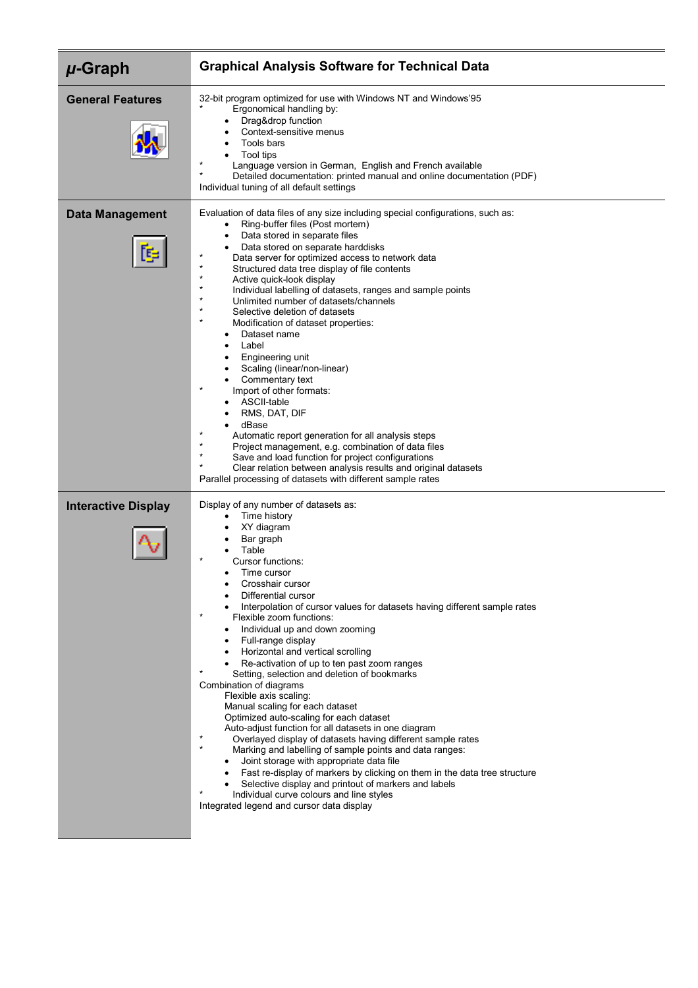| $\mu$ -Graph                | <b>Graphical Analysis Software for Technical Data</b>                                                                                                                                                                                                                                                                                                                                                                                                                                                                                                                                                                                                                                                                                                                                                                                                                                                                                                                                                                                                                                                                         |
|-----------------------------|-------------------------------------------------------------------------------------------------------------------------------------------------------------------------------------------------------------------------------------------------------------------------------------------------------------------------------------------------------------------------------------------------------------------------------------------------------------------------------------------------------------------------------------------------------------------------------------------------------------------------------------------------------------------------------------------------------------------------------------------------------------------------------------------------------------------------------------------------------------------------------------------------------------------------------------------------------------------------------------------------------------------------------------------------------------------------------------------------------------------------------|
| <b>General Features</b>     | 32-bit program optimized for use with Windows NT and Windows'95<br>Ergonomical handling by:<br>Drag&drop function<br>Context-sensitive menus<br>٠<br>Tools bars<br>Tool tips<br>Language version in German, English and French available<br>$\star$<br>Detailed documentation: printed manual and online documentation (PDF)<br>Individual tuning of all default settings                                                                                                                                                                                                                                                                                                                                                                                                                                                                                                                                                                                                                                                                                                                                                     |
| <b>Data Management</b><br>E | Evaluation of data files of any size including special configurations, such as:<br>Ring-buffer files (Post mortem)<br>$\bullet$<br>Data stored in separate files<br>$\bullet$<br>Data stored on separate harddisks<br>Data server for optimized access to network data<br>$\star$<br>Structured data tree display of file contents<br>$\star$<br>Active quick-look display<br>$\star$<br>Individual labelling of datasets, ranges and sample points<br>$\star$<br>Unlimited number of datasets/channels<br>$\star$<br>Selective deletion of datasets<br>$\star$<br>Modification of dataset properties:<br>Dataset name<br>$\bullet$<br>Label<br>Engineering unit<br>Scaling (linear/non-linear)<br>Commentary text<br>Import of other formats:<br>ASCII-table<br>RMS, DAT, DIF<br>dBase<br>$\star$<br>Automatic report generation for all analysis steps<br>$\star$<br>Project management, e.g. combination of data files<br>$\star$<br>Save and load function for project configurations<br>Clear relation between analysis results and original datasets<br>Parallel processing of datasets with different sample rates     |
| <b>Interactive Display</b>  | Display of any number of datasets as:<br>Time history<br>XY diagram<br>Bar graph<br>Table<br>Cursor functions:<br>Time cursor<br>Crosshair cursor<br>Differential cursor<br>Interpolation of cursor values for datasets having different sample rates<br>$\star$<br>Flexible zoom functions:<br>Individual up and down zooming<br>Full-range display<br>Horizontal and vertical scrolling<br>Re-activation of up to ten past zoom ranges<br>Setting, selection and deletion of bookmarks<br>Combination of diagrams<br>Flexible axis scaling:<br>Manual scaling for each dataset<br>Optimized auto-scaling for each dataset<br>Auto-adjust function for all datasets in one diagram<br>$^{\star}$<br>Overlayed display of datasets having different sample rates<br>$\star$<br>Marking and labelling of sample points and data ranges:<br>Joint storage with appropriate data file<br>• Fast re-display of markers by clicking on them in the data tree structure<br>Selective display and printout of markers and labels<br>$\star$<br>Individual curve colours and line styles<br>Integrated legend and cursor data display |